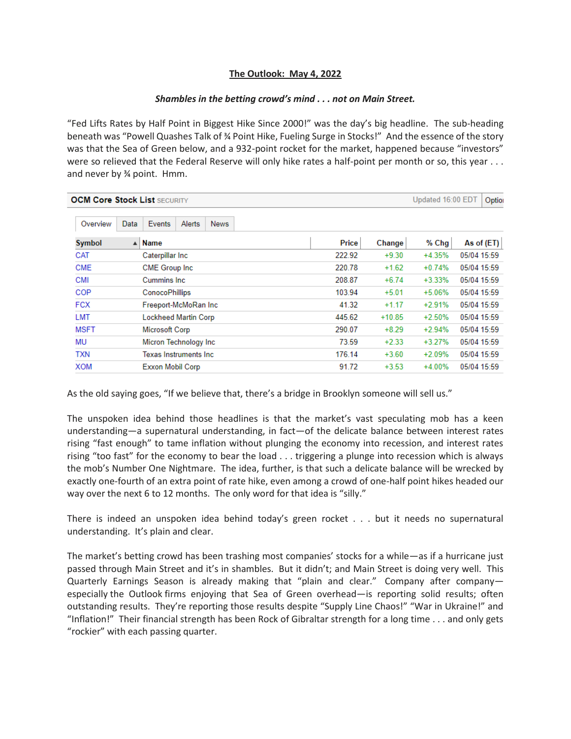## **The Outlook: May 4, 2022**

## *Shambles in the betting crowd's mind . . . not on Main Street.*

"Fed Lifts Rates by Half Point in Biggest Hike Since 2000!" was the day's big headline. The sub-heading beneath was "Powell Quashes Talk of ¾ Point Hike, Fueling Surge in Stocks!" And the essence of the story was that the Sea of Green below, and a 932-point rocket for the market, happened because "investors" were so relieved that the Federal Reserve will only hike rates a half-point per month or so, this year . . . and never by ¾ point. Hmm.

| <b>OCM Core Stock List SECURITY</b> |                                 |        | Updated 16:00 EDT |          |             |
|-------------------------------------|---------------------------------|--------|-------------------|----------|-------------|
| Data<br>Overview                    | Events<br>Alerts<br><b>News</b> |        |                   |          |             |
| Symbol<br>$\blacktriangle$          | <b>Name</b>                     | Price  | Change            | % Chg    | As of (ET)  |
| CAT                                 | Caterpillar Inc                 | 222.92 | $+9.30$           | $+4.35%$ | 05/04 15:59 |
| <b>CME</b>                          | <b>CME Group Inc.</b>           | 220.78 | $+1.62$           | $+0.74%$ | 05/04 15:59 |
| <b>CMI</b>                          | Cummins Inc.                    | 208.87 | $+6.74$           | $+3.33%$ | 05/04 15:59 |
| COP                                 | <b>ConocoPhillips</b>           | 103.94 | $+5.01$           | +5.06%   | 05/04 15:59 |
| <b>FCX</b>                          | Freeport-McMoRan Inc            | 41.32  | $+1.17$           | $+2.91%$ | 05/04 15:59 |
| <b>LMT</b>                          | <b>Lockheed Martin Corp</b>     | 445.62 | $+10.85$          | $+2.50%$ | 05/04 15:59 |
| <b>MSFT</b>                         | Microsoft Corp                  | 290.07 | $+8.29$           | $+2.94%$ | 05/04 15:59 |
| ΜU                                  | Micron Technology Inc           | 73.59  | $+2.33$           | $+3.27%$ | 05/04 15:59 |
| <b>TXN</b>                          | <b>Texas Instruments Inc.</b>   | 176.14 | $+3.60$           | $+2.09%$ | 05/04 15:59 |
| <b>XOM</b>                          | Exxon Mobil Corp                | 91.72  | $+3.53$           | $+4.00%$ | 05/04 15:59 |

As the old saying goes, "If we believe that, there's a bridge in Brooklyn someone will sell us."

The unspoken idea behind those headlines is that the market's vast speculating mob has a keen understanding—a supernatural understanding, in fact—of the delicate balance between interest rates rising "fast enough" to tame inflation without plunging the economy into recession, and interest rates rising "too fast" for the economy to bear the load . . . triggering a plunge into recession which is always the mob's Number One Nightmare. The idea, further, is that such a delicate balance will be wrecked by exactly one-fourth of an extra point of rate hike, even among a crowd of one-half point hikes headed our way over the next 6 to 12 months. The only word for that idea is "silly."

There is indeed an unspoken idea behind today's green rocket . . . but it needs no supernatural understanding. It's plain and clear.

The market's betting crowd has been trashing most companies' stocks for a while—as if a hurricane just passed through Main Street and it's in shambles. But it didn't; and Main Street is doing very well. This Quarterly Earnings Season is already making that "plain and clear." Company after company especially the Outlook firms enjoying that Sea of Green overhead—is reporting solid results; often outstanding results. They're reporting those results despite "Supply Line Chaos!" "War in Ukraine!" and "Inflation!" Their financial strength has been Rock of Gibraltar strength for a long time . . . and only gets "rockier" with each passing quarter.